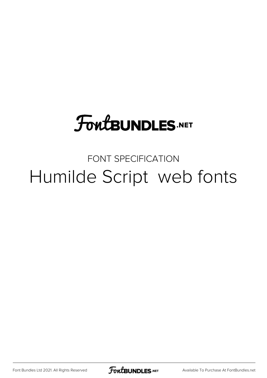# **FoutBUNDLES.NET**

## FONT SPECIFICATION Humilde Script web fonts

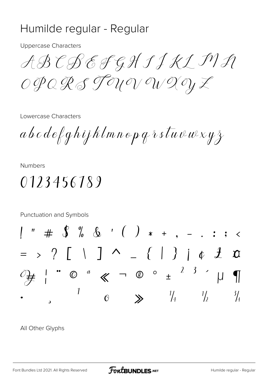#### Humilde regular - Regular

**Uppercase Characters** 

ABCBEFGHSJKLIVA OPORS TOU ON ON DOY Z

Lowercase Characters

 $a\,b\,c\,d\,e$ ef ghijhlmnop q $\,\delta\,s\,\overline{t} u\,\overline{v}\,\overline{w}\,x\,y\,\overline{z}$ 

**Numbers** 

0123456189

Punctuation and Symbols " #  $\int^{\infty}$  % & ' ( ) \* + , - . : ; <  $=$  >  $?$   $\begin{array}{ccc} \begin{array}{ccc} \end{array} & \begin{array}{ccc} \end{array} & \end{array}$   $\begin{array}{ccc} \end{array}$   $\begin{array}{ccc} \end{array}$   $\begin{array}{ccc} \end{array}$   $\begin{array}{ccc} \end{array}$   $\begin{array}{ccc} \end{array}$   $\begin{array}{ccc} \end{array}$   $\begin{array}{ccc} \end{array}$   $\begin{array}{ccc} \end{array}$   $\begin{array}{ccc} \end{array}$   $\begin{array}{ccc} \end{array}$   $\begin{array}{ccc} \end{array}$   $\begin{array$  $\boldsymbol{\mathcal{I}}$  $\frac{1}{4}$  $\frac{1}{2}$  $\frac{3}{4}$  $\searrow$  $\bigcirc$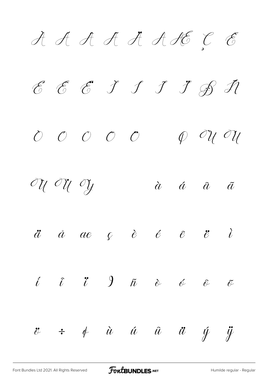$A$   $A$   $A$   $B$   $A$   $A$   $B$   $C$   $E$  $E$   $E$   $E$   $J$   $J$   $J$   $E$   $I$  $O$   $O$   $O$   $O$   $O$   $O$   $O$   $O$  $\label{eq:10} \begin{array}{cccccccccccccc} {\cal O}{\cal U} & {\cal O}{\cal U} & {\cal O}{\cal U} & {\cal O}{\cal U} & \delta & \delta & \delta & \delta \end{array}$  $\ddot{a}$   $\dot{a}$  ae  $\ddot{c}$   $\dot{e}$   $\ddot{e}$   $\ddot{e}$   $\ddot{e}$   $\ddot{c}$ í î ï ð ñ ò ó ô õ ö ÷ ø ù ú û ü ý ÿ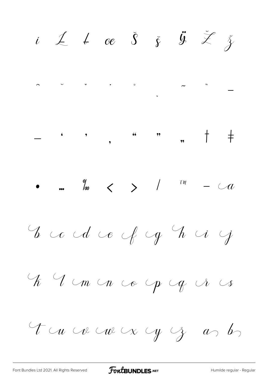i  $\measuredangle$   $\measuredangle$  oe  $\delta$   $\measuredangle$   $\measuredangle$   $\measuredangle$  $\begin{array}{cccccccccccccc} - & & \cdot & & \cdot & & \cdot & & \cdots & & \cdots & & \cdots & & \cdots & & & \cdots & & & \cdots & & & \cdots & & & & \cdots & & & & \cdots & & & & \cdots & & & & \cdots & & & & \cdots & & & & \cdots & & & & \cdots & & & & \cdots & & & & & \cdots & & & & \cdots & & & & & \cdots & & & & \cdots & & & & & \cdots & & & & & \cdots & & & & & \cdots & & & & \cdots & & & & \cdots & & & & & \cdots & & & & & \cdots & & & & & \cdots & & & & & \cdots & & &$  $\bullet$  ...  $\begin{array}{ccccc} & & & \text{if} & & \text{if} & \text{if} & \text{if} & \text{if} & \text{if} & \text{if} & \text{if} & \text{if} & \text{if} & \text{if} & \text{if} & \text{if} & \text{if} & \text{if} & \text{if} & \text{if} & \text{if} & \text{if} & \text{if} & \text{if} & \text{if} & \text{if} & \text{if} & \text{if} & \text{if} & \text{if} & \text{if} & \text{if} & \text{if} & \text{if} & \text{if} & \text{if} & \$  $\overline{\mathcal{U}}$ E co cd ce cf cg h ci cj To I cm con co cop cop is  $\bigcup$ Tu ve ve ve y z as bs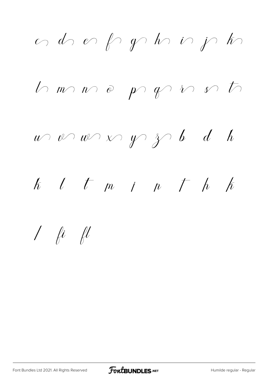$\omega$  do en fragmento in john  $ln m n o p q n o f$  $u$   $v$   $w$   $\times$   $y$   $y$   $\rightarrow$   $b$   $d$   $h$  $k$   $l$   $t$   $m$   $i$   $n$   $t$   $h$   $k$  $\int$  fi fl

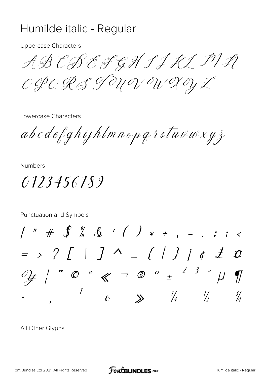#### Humilde italic - Regular

**Uppercase Characters** 

ABCBEFGHSJKLIVN OPORSTOU ON OUZOYZ

Lowercase Characters

abodefghijklmnopgrstuvwxyz

**Numbers** 

0123456789

Punctuation and Symbols

 $1'''' + 8''$  & ' ( ) \* + , - . : ; <  $=$  > ?  $\int$  |  $\int$   $\wedge$   $=$   $\{$  |  $\}$  |  $\phi$   $\mathcal{I}$   $\alpha$  $\mathbb{Z}$  / "  $\mathbb{O}$  "  $\mathbb{C}$   $\mathbb{C}$   $\mathbb{C}$   $\mathbb{C}$   $\mathbb{C}$   $\mathbb{C}$   $\mathbb{C}$   $\mathbb{C}$   $\mathbb{C}$   $\mathbb{C}$   $\mathbb{C}$   $\mathbb{C}$   $\mathbb{C}$   $\mathbb{C}$   $\mathbb{C}$   $\mathbb{C}$   $\mathbb{C}$   $\mathbb{C}$   $\mathbb{C}$   $\mathbb{C}$   $\mathbb{C}$   $\mathbb{C}$  $\mathcal{I}$  $\frac{1}{4}$   $\frac{1}{2}$  $\frac{3}{4}$  $\vee$  $\boldsymbol{\beta}$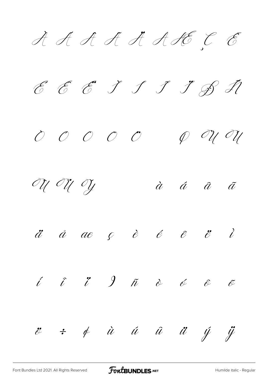*À Á Â Ã Ä Å Æ Ç È É Ê Ë Ì Í Î Ï Ð Ñ Ò Ó Ô Õ Ö Ø Ù Ú Û Ü Ý à á â ã ä å æ ç è é ê ë ì í î ï ð ñ ò ó ô õ ö ÷ ø ù ú û ü ý ÿ*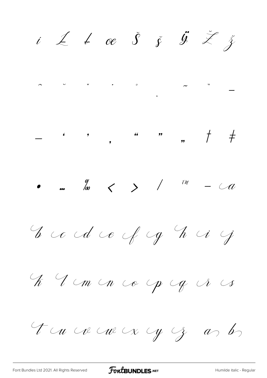$i$   $\angle$   $\angle$   $\alpha$   $\delta$   $\zeta$   $\zeta$ Eco de Jog hij El monco pogosos Thus we want y g as by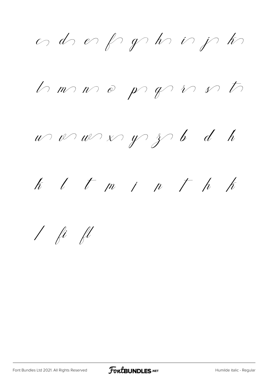or dre er fryske in je ke

 $ln m n o p q n o f$ 

 $u$   $v$   $w$   $x$   $y$   $z$   $b$   $d$   $h$ 

 $k$   $l$   $t$   $m$   $i$   $n$   $t$   $h$   $h$ 

 $1$  fi fl

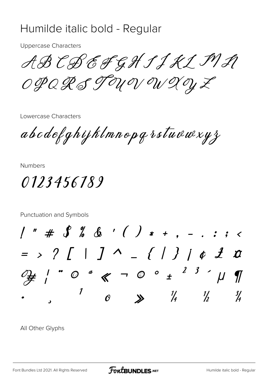#### Humilde italic bold - Regular

**Uppercase Characters** 

ABCBEFGHSJKLMR OPQRSTOU OVOU XOYZ

Lowercase Characters

abcdefghijklmnopgrstuvwxyz

**Numbers** 

0123456189

Punctuation and Symbols  $1'''' + 3''$  &  $($   $) * +$  ,  $-$  . : ; <  $=$  > ?  $[$  |  $]$   $\wedge$   $=$   $[$   $]$   $]$   $[$   $]$   $[$   $]$   $[$   $]$   $[$   $]$   $[$   $]$   $[$   $]$   $[$   $]$   $[$   $]$   $[$   $]$   $[$   $]$   $[$   $]$   $[$   $]$   $[$   $]$   $[$   $]$   $[$   $]$   $[$   $]$   $[$   $]$   $[$   $]$   $[$   $]$   $[$   $]$   $[$   $]$   $[$   $]$   $[$   $\int \frac{1}{x} \int^x 0^a x dx = 0^a \frac{1}{2} \int x^2 dx$  $\boldsymbol{\eta}$  $\frac{1}{4}$  $\frac{3}{4}$  $\frac{1}{2}$  $\lambda$  $\boldsymbol{\beta}$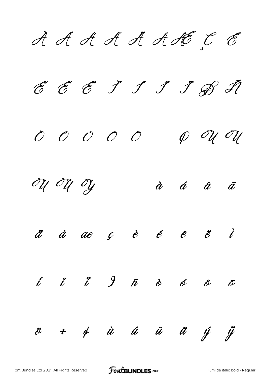*À Á Â Ã Ä Å Æ Ç È É Ê Ë Ì Í Î Ï Ð Ñ Ò Ó Ô Õ Ö Ø Ù Ú Û Ü Ý à á â ã ä å æ ç è é ê ë ì í î ï ð ñ ò ó ô õ ö ÷ ø ù ú û ü ý ÿ*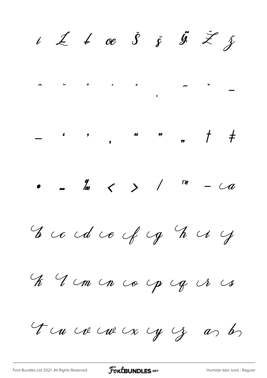Eccident y El mon co op og vi os Tu ce cu cx cy cz as bs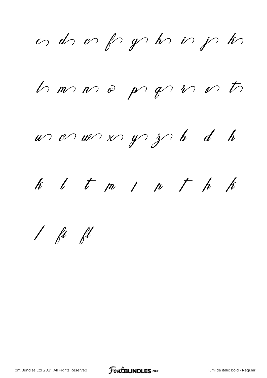ad of pphinph

 $h$  m  $m$   $e$   $p$   $g$   $n$   $n$   $t$ 

 $w$  or  $w$  x  $y$   $3$  b d h

 $k$   $l$   $t$   $m$   $i$   $n$   $r$   $h$   $k$ 

 $1$  fi fl

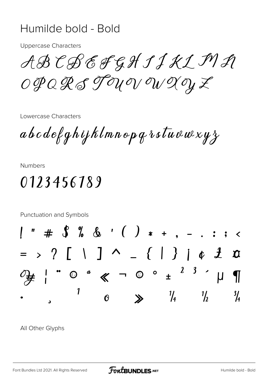#### Humilde bold - Bold

**Uppercase Characters** 

ABCBEFGHIJKLMR OPQRSTOU OV OW XOYZ

Lowercase Characters

 $ab\,c\,de\{q\}$ ghijklmnop q r stuvwxy $\chi$ 

**Numbers** 

### 0123456789

Punctuation and Symbols  $" # \S \% \& '() * + ...$  $=$  >  $?$   $\begin{array}{ccc} \begin{array}{ccc} \end{array} & \end{array}$   $\begin{array}{ccc} \end{array}$   $\begin{array}{ccc} \end{array}$   $\begin{array}{ccc} \end{array}$   $\begin{array}{ccc} \end{array}$   $\begin{array}{ccc} \end{array}$   $\begin{array}{ccc} \end{array}$   $\begin{array}{ccc} \end{array}$   $\begin{array}{ccc} \end{array}$   $\begin{array}{ccc} \end{array}$   $\begin{array}{ccc} \end{array}$   $\begin{array}{ccc} \end{array}$   $\begin{array}{ccc} \end{array}$   $\begin$  $\boldsymbol{\eta}$  $\frac{1}{4}$  $\frac{1}{2}$  $\frac{3}{4}$  $\mathbf{v}$  $\boldsymbol{\Omega}$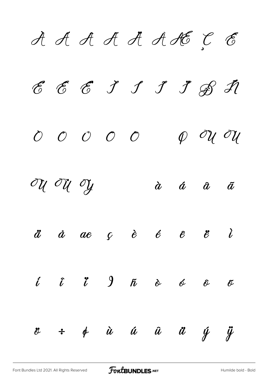**À Á Â Ã Ä Å Æ Ç È É Ê Ë Ì Í Î Ï Ð Ñ Ò Ó Ô Õ Ö Ø Ù Ú Û Ü Ý à á â ã ä å æ ç è é ê ë ì í î ï ð ñ ò ó ô õ ö ÷ ø ù ú û ü ý ÿ**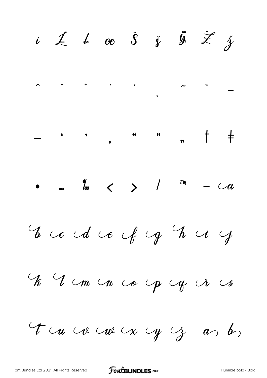i  $\measuredangle$   $\measuredangle$  oe  $\measuredangle$   $\measuredangle$   $\measuredangle$  $\bigcup$ E co cd ce cf cg h ci cj El mon co op og ir  $\mathcal{C}_{\bm{\delta}}$ Tu ve ve ve y y g as bs